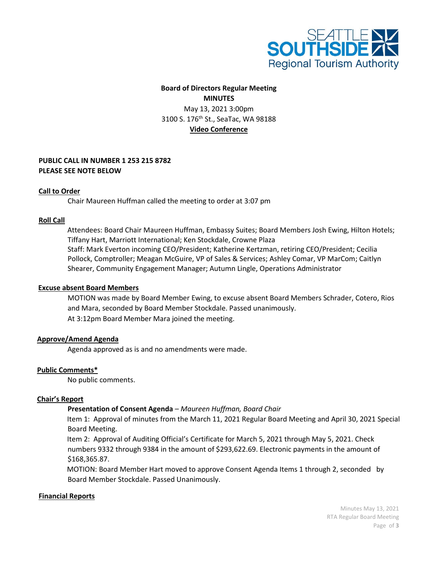

# **Board of Directors Regular Meeting MINUTES**

May 13, 2021 3:00pm 3100 S. 176<sup>th</sup> St., SeaTac, WA 98188 **Video Conference**

## **PUBLIC CALL IN NUMBER 1 253 215 8782 PLEASE SEE NOTE BELOW**

### **Call to Order**

Chair Maureen Huffman called the meeting to order at 3:07 pm

### **Roll Call**

 Attendees: Board Chair Maureen Huffman, Embassy Suites; Board Members Josh Ewing, Hilton Hotels; Tiffany Hart, Marriott International; Ken Stockdale, Crowne Plaza Staff: Mark Everton incoming CEO/President; Katherine Kertzman, retiring CEO/President; Cecilia Pollock, Comptroller; Meagan McGuire, VP of Sales & Services; Ashley Comar, VP MarCom; Caitlyn Shearer, Community Engagement Manager; Autumn Lingle, Operations Administrator

#### **Excuse absent Board Members**

MOTION was made by Board Member Ewing, to excuse absent Board Members Schrader, Cotero, Rios and Mara, seconded by Board Member Stockdale. Passed unanimously. At 3:12pm Board Member Mara joined the meeting.

## **Approve/Amend Agenda**

Agenda approved as is and no amendments were made.

## **Public Comments\***

No public comments.

#### **Chair's Report**

## **Presentation of Consent Agenda** *– Maureen Huffman, Board Chair*

Item 1: Approval of minutes from the March 11, 2021 Regular Board Meeting and April 30, 2021 Special Board Meeting.

Item 2: Approval of Auditing Official's Certificate for March 5, 2021 through May 5, 2021. Check numbers 9332 through 9384 in the amount of \$293,622.69. Electronic payments in the amount of \$168,365.87.

MOTION: Board Member Hart moved to approve Consent Agenda Items 1 through 2, seconded by Board Member Stockdale. Passed Unanimously.

#### **Financial Reports**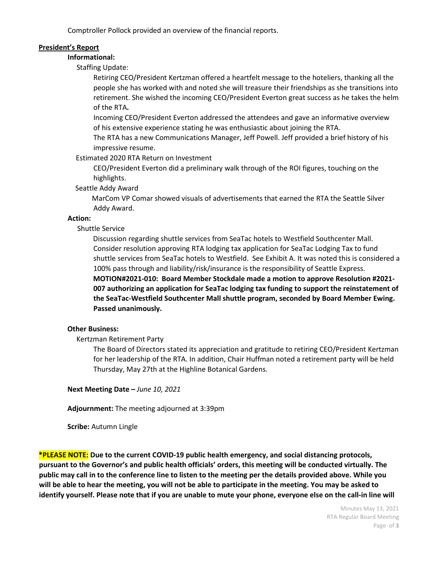Comptroller Pollock provided an overview of the financial reports.

## **President's Report**

**Informational:** 

Staffing Update:

Retiring CEO/President Kertzman offered a heartfelt message to the hoteliers, thanking all the people she has worked with and noted she will treasure their friendships as she transitions into retirement. She wished the incoming CEO/President Everton great success as he takes the helm of the RTA**.**

Incoming CEO/President Everton addressed the attendees and gave an informative overview of his extensive experience stating he was enthusiastic about joining the RTA.

The RTA has a new Communications Manager, Jeff Powell. Jeff provided a brief history of his impressive resume.

Estimated 2020 RTA Return on Investment

CEO/President Everton did a preliminary walk through of the ROI figures, touching on the highlights.

Seattle Addy Award

 MarCom VP Comar showed visuals of advertisements that earned the RTA the Seattle Silver Addy Award.

## **Action:**

## Shuttle Service

 Discussion regarding shuttle services from SeaTac hotels to Westfield Southcenter Mall. Consider resolution approving RTA lodging tax application for SeaTac Lodging Tax to fund shuttle services from SeaTac hotels to Westfield. See Exhibit A. It was noted this is considered a 100% pass through and liability/risk/insurance is the responsibility of Seattle Express.

 **MOTION#2021-010: Board Member Stockdale made a motion to approve Resolution #2021- 007 authorizing an application for SeaTac lodging tax funding to support the reinstatement of the SeaTac-Westfield Southcenter Mall shuttle program, seconded by Board Member Ewing. Passed unanimously.**

## **Other Business:**

Kertzman Retirement Party

The Board of Directors stated its appreciation and gratitude to retiring CEO/President Kertzman for her leadership of the RTA. In addition, Chair Huffman noted a retirement party will be held Thursday, May 27th at the Highline Botanical Gardens.

**Next Meeting Date –** *June 10, 2021*

**Adjournment:** The meeting adjourned at 3:39pm

**Scribe:** Autumn Lingle

**\*PLEASE NOTE: Due to the current COVID-19 public health emergency, and social distancing protocols, pursuant to the Governor's and public health officials' orders, this meeting will be conducted virtually. The public may call in to the conference line to listen to the meeting per the details provided above. While you will be able to hear the meeting, you will not be able to participate in the meeting. You may be asked to identify yourself. Please note that if you are unable to mute your phone, everyone else on the call-in line will** 

> Minutes May 13, 2021 RTA Regular Board Meeting Page of **3**